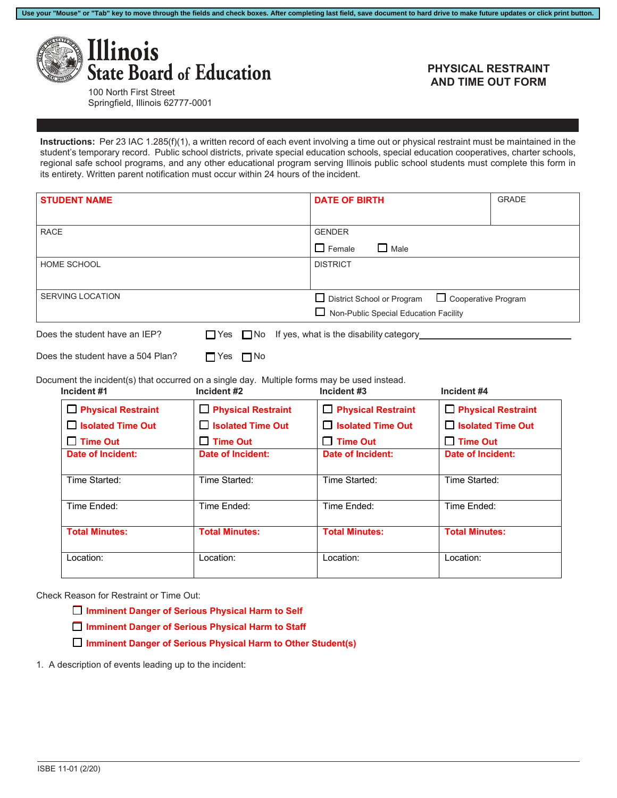

## **PHYSICAL RESTRAINT AND TIME OUT FORM**

100 North First Street Springfield, Illinois 62777-0001

**Instructions:** Per 23 IAC 1.285(f)(1), a written record of each event involving a time out or physical restraint must be maintained in the student's temporary record. Public school districts, private special education schools, special education cooperatives, charter schools, regional safe school programs, and any other educational program serving Illinois public school students must complete this form in its entirety. Written parent notification must occur within 24 hours of the incident.

**Use your "Mouse" or "Tab" key to move through the fields and check boxes. After completing last field, save document to hard drive to make future updates or click print button.**

| <b>STUDENT NAME</b> |                                                                                                                                                 |                                     | <b>DATE OF BIRTH</b>                         | <b>GRADE</b>               |
|---------------------|-------------------------------------------------------------------------------------------------------------------------------------------------|-------------------------------------|----------------------------------------------|----------------------------|
|                     |                                                                                                                                                 |                                     |                                              |                            |
| <b>RACE</b>         |                                                                                                                                                 |                                     | <b>GENDER</b>                                |                            |
|                     |                                                                                                                                                 |                                     | $\Box$ Male<br>$\Box$ Female                 |                            |
|                     | <b>HOME SCHOOL</b>                                                                                                                              |                                     | <b>DISTRICT</b>                              |                            |
|                     |                                                                                                                                                 |                                     |                                              |                            |
|                     | <b>SERVING LOCATION</b>                                                                                                                         |                                     | □ District School or Program                 | $\Box$ Cooperative Program |
|                     |                                                                                                                                                 |                                     | $\Box$ Non-Public Special Education Facility |                            |
|                     |                                                                                                                                                 |                                     |                                              |                            |
|                     | Does the student have a 504 Plan?<br>Document the incident(s) that occurred on a single day. Multiple forms may be used instead.<br>Incident #1 | $\Box$ Yes $\Box$ No<br>Incident #2 | Incident #3                                  | Incident #4                |
|                     | $\Box$ Physical Restraint                                                                                                                       | <b>Physical Restraint</b>           | $\Box$ Physical Restraint                    | <b>Physical Restraint</b>  |
|                     | □ Isolated Time Out                                                                                                                             | $\Box$ Isolated Time Out            | $\Box$ Isolated Time Out                     | $\Box$ Isolated Time Out   |
|                     | $\Box$ Time Out                                                                                                                                 | $\Box$ Time Out                     | $\Box$ Time Out                              | $\Box$ Time Out            |
|                     | <b>Date of Incident:</b>                                                                                                                        | <b>Date of Incident:</b>            | <b>Date of Incident:</b>                     | <b>Date of Incident:</b>   |
|                     | Time Started:                                                                                                                                   | Time Started:                       | Time Started:                                | Time Started:              |
|                     | Time Ended:                                                                                                                                     | Time Ended:                         | Time Ended:                                  | Time Ended:                |

Location: Location: Location: Location:

Check Reason for Restraint or Time Out:

- ☐ **Imminent Danger of Serious Physical Harm to Self**
- ☐ **Imminent Danger of Serious Physical Harm to Staff**
- ☐ **Imminent Danger of Serious Physical Harm to Other Student(s)**
- 1. A description of events leading up to the incident: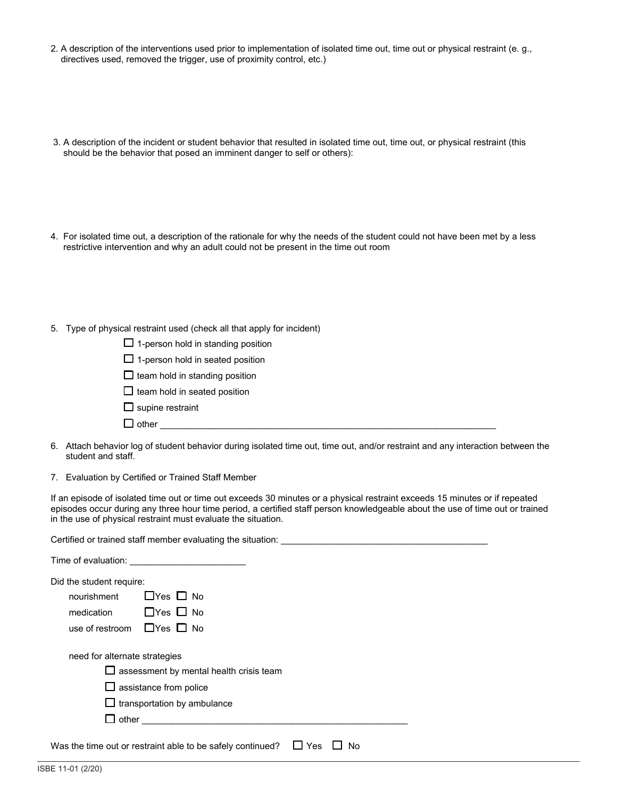- 2. A description of the interventions used prior to implementation of isolated time out, time out or physical restraint (e. g., directives used, removed the trigger, use of proximity control, etc.)
- 3. A description of the incident or student behavior that resulted in isolated time out, time out, or physical restraint (this should be the behavior that posed an imminent danger to self or others):
- 4. For isolated time out, a description of the rationale for why the needs of the student could not have been met by a less restrictive intervention and why an adult could not be present in the time out room
- 5. Type of physical restraint used (check all that apply for incident)

|  | $\Box$ 1-person hold in standing position |  |  |  |  |
|--|-------------------------------------------|--|--|--|--|
|--|-------------------------------------------|--|--|--|--|

- $\Box$  1-person hold in seated position
- $\Box$  team hold in standing position
- $\Box$  team hold in seated position
- $\Box$  supine restraint
- $\Box$  other
- 6. Attach behavior log of student behavior during isolated time out, time out, and/or restraint and any interaction between the student and staff.
- 7. Evaluation by Certified or Trained Staff Member

If an episode of isolated time out or time out exceeds 30 minutes or a physical restraint exceeds 15 minutes or if repeated episodes occur during any three hour time period, a certified staff person knowledgeable about the use of time out or trained in the use of physical restraint must evaluate the situation.

| Certified or trained staff member evaluating the situation:                                                                                            |
|--------------------------------------------------------------------------------------------------------------------------------------------------------|
|                                                                                                                                                        |
| Did the student require:<br>$\Box$ Yes $\Box$ No<br>nourishment<br>$\Box$ Yes $\Box$ No<br>medication<br>use of restroom $\Box$ Yes $\Box$ No          |
| need for alternate strategies<br>$\Box$ assessment by mental health crisis team<br>$\Box$ assistance from police<br>$\Box$ transportation by ambulance |
| Was the time out or restraint able to be safely continued?<br>Yes<br>No                                                                                |